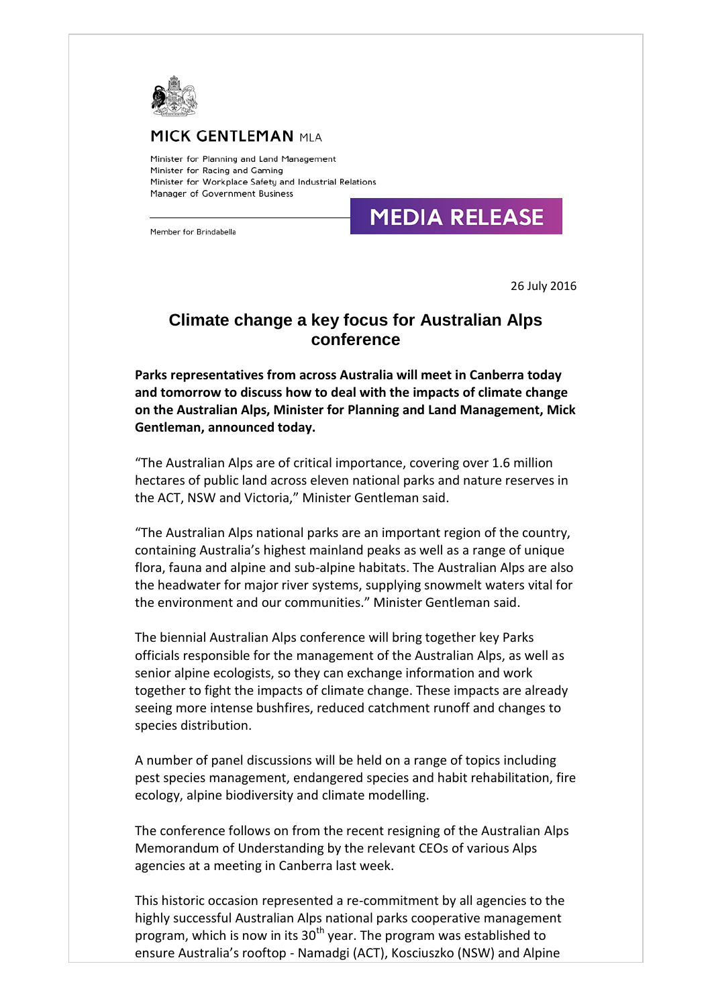

## **K GENTLEMAN** mla

Minister for Planning and Land Management Minister for Racing and Gaming Minister for Workplace Safety and Industrial Relations Manager of Government Business

## **MEDIA RELEASE**

Member for Brindabella

26 July 2016

## **Climate change a key focus for Australian Alps conference**

**Parks representatives from across Australia will meet in Canberra today and tomorrow to discuss how to deal with the impacts of climate change on the Australian Alps, Minister for Planning and Land Management, Mick Gentleman, announced today.**

"The Australian Alps are of critical importance, covering over 1.6 million hectares of public land across eleven national parks and nature reserves in the ACT, NSW and Victoria," Minister Gentleman said.

"The Australian Alps national parks are an important region of the country, containing Australia's highest mainland peaks as well as a range of unique flora, fauna and alpine and sub-alpine habitats. The Australian Alps are also the headwater for major river systems, supplying snowmelt waters vital for the environment and our communities." Minister Gentleman said.

The biennial Australian Alps conference will bring together key Parks officials responsible for the management of the Australian Alps, as well as senior alpine ecologists, so they can exchange information and work together to fight the impacts of climate change. These impacts are already seeing more intense bushfires, reduced catchment runoff and changes to species distribution.

A number of panel discussions will be held on a range of topics including pest species management, endangered species and habit rehabilitation, fire ecology, alpine biodiversity and climate modelling.

The conference follows on from the recent resigning of the Australian Alps Memorandum of Understanding by the relevant CEOs of various Alps agencies at a meeting in Canberra last week.

This historic occasion represented a re-commitment by all agencies to the highly successful Australian Alps national parks cooperative management program, which is now in its  $30<sup>th</sup>$  year. The program was established to ensure Australia's rooftop - Namadgi (ACT), Kosciuszko (NSW) and Alpine